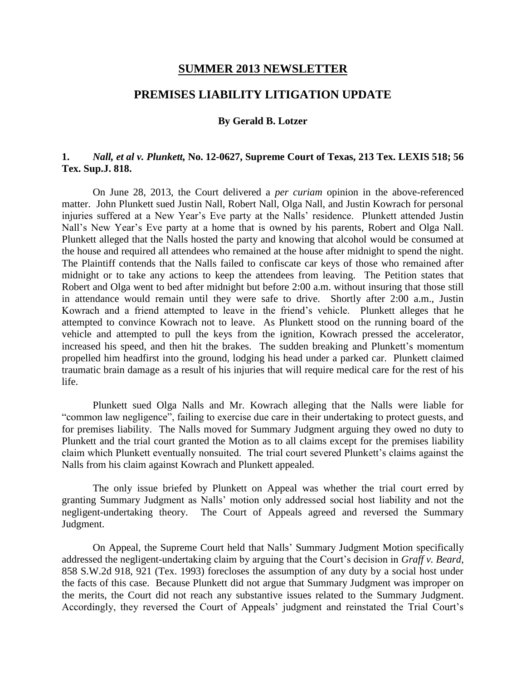### **SUMMER 2013 NEWSLETTER**

# **PREMISES LIABILITY LITIGATION UPDATE**

#### **By Gerald B. Lotzer**

## **1.** *Nall, et al v. Plunkett,* **No. 12-0627, Supreme Court of Texas, 213 Tex. LEXIS 518; 56 Tex. Sup.J. 818.**

On June 28, 2013, the Court delivered a *per curiam* opinion in the above-referenced matter. John Plunkett sued Justin Nall, Robert Nall, Olga Nall, and Justin Kowrach for personal injuries suffered at a New Year's Eve party at the Nalls' residence. Plunkett attended Justin Nall's New Year's Eve party at a home that is owned by his parents, Robert and Olga Nall. Plunkett alleged that the Nalls hosted the party and knowing that alcohol would be consumed at the house and required all attendees who remained at the house after midnight to spend the night. The Plaintiff contends that the Nalls failed to confiscate car keys of those who remained after midnight or to take any actions to keep the attendees from leaving. The Petition states that Robert and Olga went to bed after midnight but before 2:00 a.m. without insuring that those still in attendance would remain until they were safe to drive. Shortly after 2:00 a.m., Justin Kowrach and a friend attempted to leave in the friend's vehicle. Plunkett alleges that he attempted to convince Kowrach not to leave. As Plunkett stood on the running board of the vehicle and attempted to pull the keys from the ignition, Kowrach pressed the accelerator, increased his speed, and then hit the brakes. The sudden breaking and Plunkett's momentum propelled him headfirst into the ground, lodging his head under a parked car. Plunkett claimed traumatic brain damage as a result of his injuries that will require medical care for the rest of his life.

Plunkett sued Olga Nalls and Mr. Kowrach alleging that the Nalls were liable for "common law negligence", failing to exercise due care in their undertaking to protect guests, and for premises liability. The Nalls moved for Summary Judgment arguing they owed no duty to Plunkett and the trial court granted the Motion as to all claims except for the premises liability claim which Plunkett eventually nonsuited. The trial court severed Plunkett's claims against the Nalls from his claim against Kowrach and Plunkett appealed.

The only issue briefed by Plunkett on Appeal was whether the trial court erred by granting Summary Judgment as Nalls' motion only addressed social host liability and not the negligent-undertaking theory. The Court of Appeals agreed and reversed the Summary Judgment.

On Appeal, the Supreme Court held that Nalls' Summary Judgment Motion specifically addressed the negligent-undertaking claim by arguing that the Court's decision in *Graff v. Beard*, 858 S.W.2d 918, 921 (Tex. 1993) forecloses the assumption of any duty by a social host under the facts of this case. Because Plunkett did not argue that Summary Judgment was improper on the merits, the Court did not reach any substantive issues related to the Summary Judgment. Accordingly, they reversed the Court of Appeals' judgment and reinstated the Trial Court's